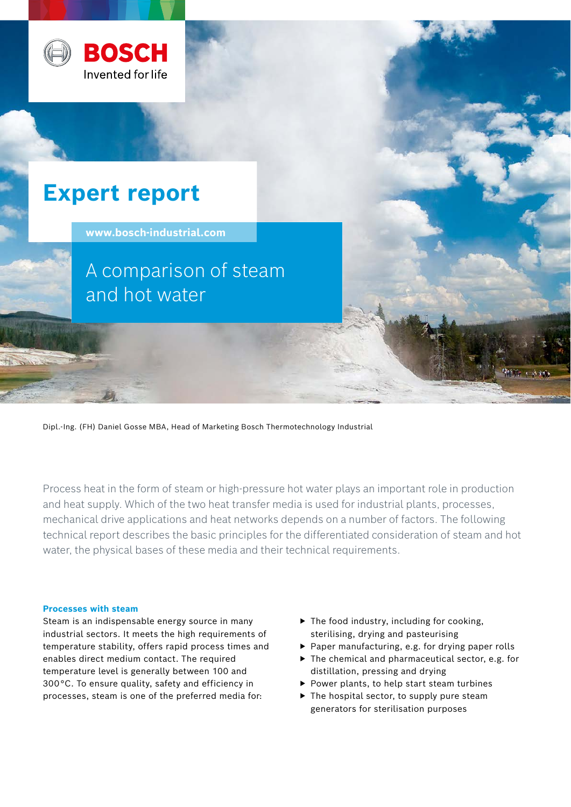

# **Expert report**

**www.bosch-industrial.com** 

A comparison of steam and hot water

Dipl.-Ing. (FH) Daniel Gosse MBA, Head of Marketing Bosch Thermotechnology Industrial

Process heat in the form of steam or high-pressure hot water plays an important role in production and heat supply. Which of the two heat transfer media is used for industrial plants, processes, mechanical drive applications and heat networks depends on a number of factors. The following technical report describes the basic principles for the differentiated consideration of steam and hot water, the physical bases of these media and their technical requirements.

# **Processes with steam**

Steam is an indispensable energy source in many industrial sectors. It meets the high requirements of temperature stability, offers rapid process times and enables direct medium contact. The required temperature level is generally between 100 and 300 °C. To ensure quality, safety and efficiency in processes, steam is one of the preferred media for:

- $\blacktriangleright$  The food industry, including for cooking, sterilising, drying and pasteurising
- ▶ Paper manufacturing, e.g. for drying paper rolls
- $\triangleright$  The chemical and pharmaceutical sector, e.g. for distillation, pressing and drying
- ▶ Power plants, to help start steam turbines
- $\blacktriangleright$  The hospital sector, to supply pure steam generators for sterilisation purposes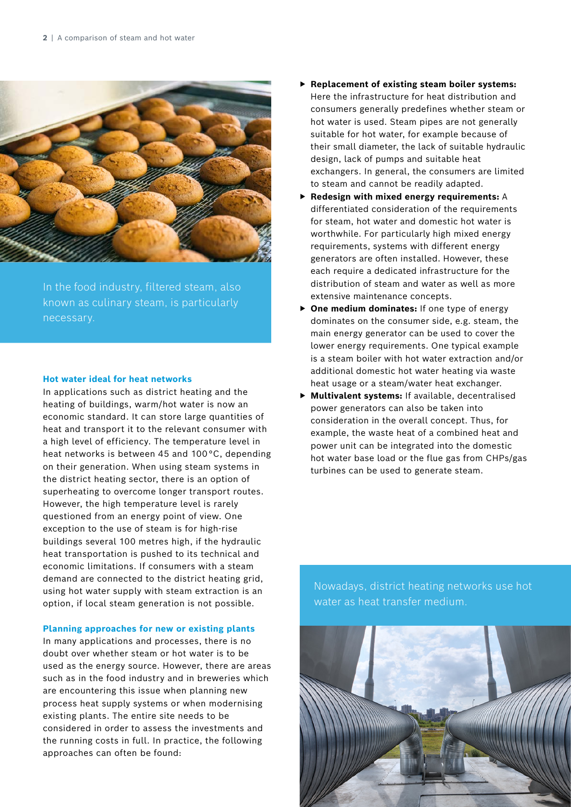

In the food industry, filtered steam, also known as culinary steam, is particularly

### **Hot water ideal for heat networks**

In applications such as district heating and the heating of buildings, warm/hot water is now an economic standard. It can store large quantities of heat and transport it to the relevant consumer with a high level of efficiency. The temperature level in heat networks is between 45 and 100 °C, depending on their generation. When using steam systems in the district heating sector, there is an option of superheating to overcome longer transport routes. However, the high temperature level is rarely questioned from an energy point of view. One exception to the use of steam is for high-rise buildings several 100 metres high, if the hydraulic heat transportation is pushed to its technical and economic limitations. If consumers with a steam demand are connected to the district heating grid, using hot water supply with steam extraction is an option, if local steam generation is not possible.

# **Planning approaches for new or existing plants**

In many applications and processes, there is no doubt over whether steam or hot water is to be used as the energy source. However, there are areas such as in the food industry and in breweries which are encountering this issue when planning new process heat supply systems or when modernising existing plants. The entire site needs to be considered in order to assess the investments and the running costs in full. In practice, the following approaches can often be found:

- ▶ Replacement of existing steam boiler systems: Here the infrastructure for heat distribution and consumers generally predefines whether steam or hot water is used. Steam pipes are not generally suitable for hot water, for example because of their small diameter, the lack of suitable hydraulic design, lack of pumps and suitable heat exchangers. In general, the consumers are limited to steam and cannot be readily adapted.
- ▶ **Redesign with mixed energy requirements:** A differentiated consideration of the requirements for steam, hot water and domestic hot water is worthwhile. For particularly high mixed energy requirements, systems with different energy generators are often installed. However, these each require a dedicated infrastructure for the distribution of steam and water as well as more extensive maintenance concepts.
- ▶ One medium dominates: If one type of energy dominates on the consumer side, e.g. steam, the main energy generator can be used to cover the lower energy requirements. One typical example is a steam boiler with hot water extraction and/or additional domestic hot water heating via waste heat usage or a steam/water heat exchanger.
- ▶ **Multivalent systems:** If available, decentralised power generators can also be taken into consideration in the overall concept. Thus, for example, the waste heat of a combined heat and power unit can be integrated into the domestic hot water base load or the flue gas from CHPs/gas turbines can be used to generate steam.

Nowadays, district heating networks use hot water as heat transfer medium.

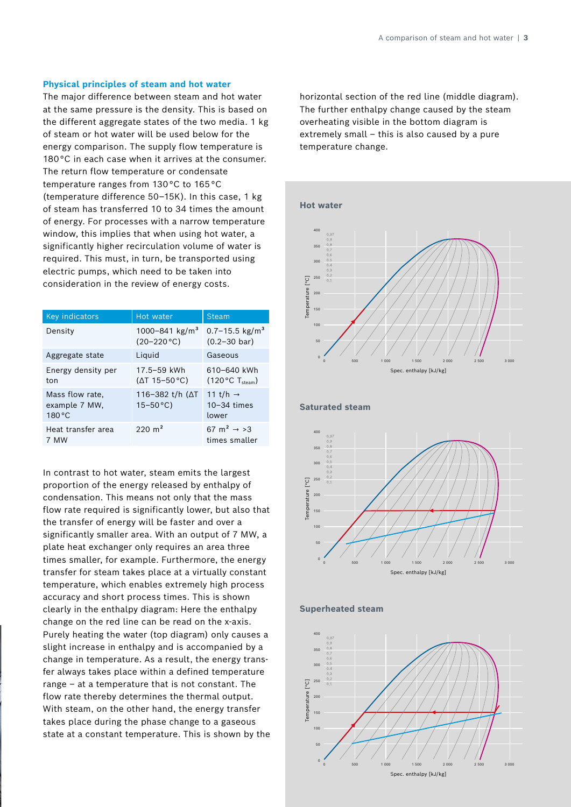#### **Physical principles of steam and hot water**

The major difference between steam and hot water at the same pressure is the density. This is based on the different aggregate states of the two media. 1 kg of steam or hot water will be used below for the energy comparison. The supply flow temperature is 180°C in each case when it arrives at the consumer. The return flow temperature or condensate temperature ranges from 130 °C to 165 °C (temperature difference 50–15K). In this case, 1 kg of steam has transferred 10 to 34 times the amount of energy. For processes with a narrow temperature window, this implies that when using hot water, a significantly higher recirculation volume of water is required. This must, in turn, be transported using electric pumps, which need to be taken into consideration in the review of energy costs.

| Key indicators                             | Hot water                                     | <b>Steam</b>                                               |
|--------------------------------------------|-----------------------------------------------|------------------------------------------------------------|
| Density                                    | 1000-841 kg/m <sup>3</sup><br>$(20-220 °C)$   | $0.7 - 15.5$ kg/m <sup>3</sup><br>$(0.2 - 30 \text{ bar})$ |
| Aggregate state                            | Liquid                                        | Gaseous                                                    |
| Energy density per<br>ton                  | 17.5-59 kWh<br>$(\Delta T 15 - 50 \degree C)$ | 610-640 kWh<br>$(120 °C)$ T <sub>steam</sub> )             |
| Mass flow rate,<br>example 7 MW,<br>180 °C | 116-382 t/h ( $\Delta T$<br>$15 - 50$ °C)     | 11 t/h $\rightarrow$<br>$10 - 34$ times<br>lower           |
| Heat transfer area<br>7 MW                 | $220 \text{ m}^2$                             | 67 m <sup>2</sup> $\rightarrow$ >3<br>times smaller        |

In contrast to hot water, steam emits the largest proportion of the energy released by enthalpy of condensation. This means not only that the mass flow rate required is significantly lower, but also that the transfer of energy will be faster and over a significantly smaller area. With an output of 7 MW, a plate heat exchanger only requires an area three times smaller, for example. Furthermore, the energy transfer for steam takes place at a virtually constant temperature, which enables extremely high process accuracy and short process times. This is shown clearly in the enthalpy diagram: Here the enthalpy change on the red line can be read on the x-axis. Purely heating the water (top diagram) only causes a slight increase in enthalpy and is accompanied by a change in temperature. As a result, the energy transfer always takes place within a defined temperature range – at a temperature that is not constant. The flow rate thereby determines the thermal output. With steam, on the other hand, the energy transfer takes place during the phase change to a gaseous state at a constant temperature. This is shown by the

horizontal section of the red line (middle diagram). The further enthalpy change caused by the steam overheating visible in the bottom diagram is extremely small – this is also caused by a pure temperature change.









**Saturated steam**

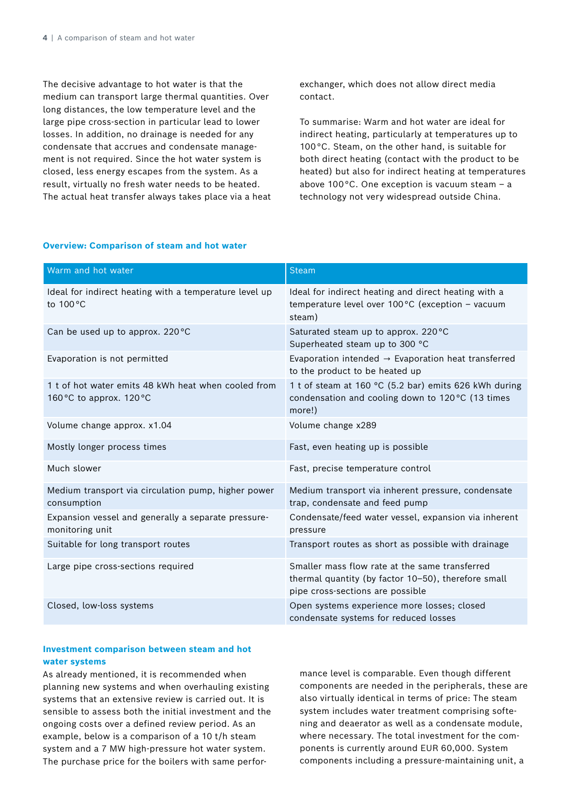The decisive advantage to hot water is that the medium can transport large thermal quantities. Over long distances, the low temperature level and the large pipe cross-section in particular lead to lower losses. In addition, no drainage is needed for any condensate that accrues and condensate management is not required. Since the hot water system is closed, less energy escapes from the system. As a result, virtually no fresh water needs to be heated. The actual heat transfer always takes place via a heat exchanger, which does not allow direct media contact.

To summarise: Warm and hot water are ideal for indirect heating, particularly at temperatures up to 100 °C. Steam, on the other hand, is suitable for both direct heating (contact with the product to be heated) but also for indirect heating at temperatures above 100 °C. One exception is vacuum steam – a technology not very widespread outside China.

# **Overview: Comparison of steam and hot water**

| Warm and hot water                                                              | <b>Steam</b>                                                                                                                              |
|---------------------------------------------------------------------------------|-------------------------------------------------------------------------------------------------------------------------------------------|
| Ideal for indirect heating with a temperature level up<br>to 100 °C             | Ideal for indirect heating and direct heating with a<br>temperature level over 100°C (exception - vacuum<br>steam)                        |
| Can be used up to approx. 220°C                                                 | Saturated steam up to approx. 220 °C<br>Superheated steam up to 300 °C                                                                    |
| Evaporation is not permitted                                                    | Evaporation intended $\rightarrow$ Evaporation heat transferred<br>to the product to be heated up                                         |
| 1 t of hot water emits 48 kWh heat when cooled from<br>160 °C to approx. 120 °C | 1 t of steam at 160 °C (5.2 bar) emits 626 kWh during<br>condensation and cooling down to 120°C (13 times<br>more!)                       |
| Volume change approx. x1.04                                                     | Volume change x289                                                                                                                        |
| Mostly longer process times                                                     | Fast, even heating up is possible                                                                                                         |
| Much slower                                                                     | Fast, precise temperature control                                                                                                         |
| Medium transport via circulation pump, higher power<br>consumption              | Medium transport via inherent pressure, condensate<br>trap, condensate and feed pump                                                      |
| Expansion vessel and generally a separate pressure-<br>monitoring unit          | Condensate/feed water vessel, expansion via inherent<br>pressure                                                                          |
| Suitable for long transport routes                                              | Transport routes as short as possible with drainage                                                                                       |
| Large pipe cross-sections required                                              | Smaller mass flow rate at the same transferred<br>thermal quantity (by factor 10-50), therefore small<br>pipe cross-sections are possible |
| Closed, low-loss systems                                                        | Open systems experience more losses; closed<br>condensate systems for reduced losses                                                      |

# **Investment comparison between steam and hot water systems**

As already mentioned, it is recommended when planning new systems and when overhauling existing systems that an extensive review is carried out. It is sensible to assess both the initial investment and the ongoing costs over a defined review period. As an example, below is a comparison of a 10 t/h steam system and a 7 MW high-pressure hot water system. The purchase price for the boilers with same perfor-

mance level is comparable. Even though different components are needed in the peripherals, these are also virtually identical in terms of price: The steam system includes water treatment comprising softening and deaerator as well as a condensate module, where necessary. The total investment for the components is currently around EUR 60,000. System components including a pressure-maintaining unit, a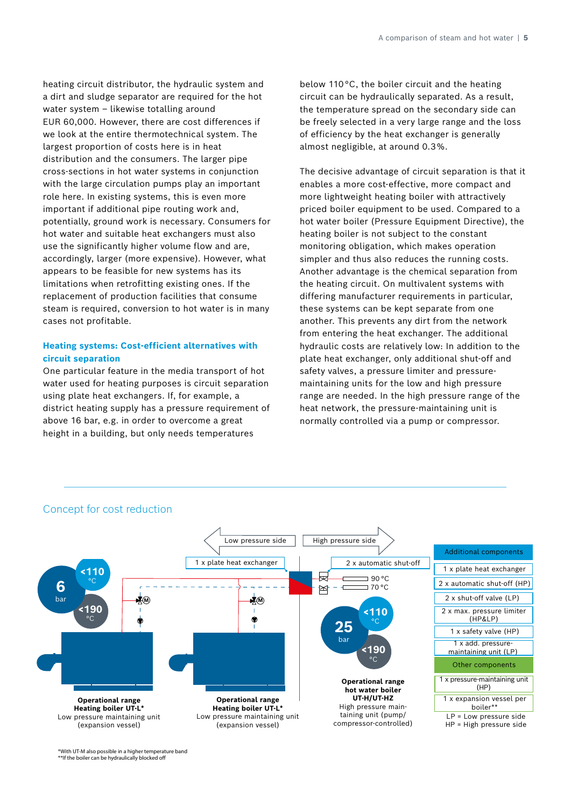heating circuit distributor, the hydraulic system and a dirt and sludge separator are required for the hot water system – likewise totalling around EUR 60,000. However, there are cost differences if we look at the entire thermotechnical system. The largest proportion of costs here is in heat distribution and the consumers. The larger pipe cross-sections in hot water systems in conjunction with the large circulation pumps play an important role here. In existing systems, this is even more important if additional pipe routing work and, potentially, ground work is necessary. Consumers for hot water and suitable heat exchangers must also use the significantly higher volume flow and are, accordingly, larger (more expensive). However, what appears to be feasible for new systems has its limitations when retrofitting existing ones. If the replacement of production facilities that consume steam is required, conversion to hot water is in many cases not profitable.

# **Heating systems: Cost-efficient alternatives with circuit separation**

One particular feature in the media transport of hot water used for heating purposes is circuit separation using plate heat exchangers. If, for example, a district heating supply has a pressure requirement of above 16 bar, e.g. in order to overcome a great height in a building, but only needs temperatures

below 110 °C, the boiler circuit and the heating circuit can be hydraulically separated. As a result, the temperature spread on the secondary side can be freely selected in a very large range and the loss of efficiency by the heat exchanger is generally almost negligible, at around 0.3 %.

The decisive advantage of circuit separation is that it enables a more cost-effective, more compact and more lightweight heating boiler with attractively priced boiler equipment to be used. Compared to a hot water boiler (Pressure Equipment Directive), the heating boiler is not subject to the constant monitoring obligation, which makes operation simpler and thus also reduces the running costs. Another advantage is the chemical separation from the heating circuit. On multivalent systems with differing manufacturer requirements in particular, these systems can be kept separate from one another. This prevents any dirt from the network from entering the heat exchanger. The additional hydraulic costs are relatively low: In addition to the plate heat exchanger, only additional shut-off and safety valves, a pressure limiter and pressuremaintaining units for the low and high pressure range are needed. In the high pressure range of the heat network, the pressure-maintaining unit is normally controlled via a pump or compressor.



# Concept for cost reduction

\*With UT-M also possible in a higher temperature band \*\*If the boiler can be hydraulically blocked off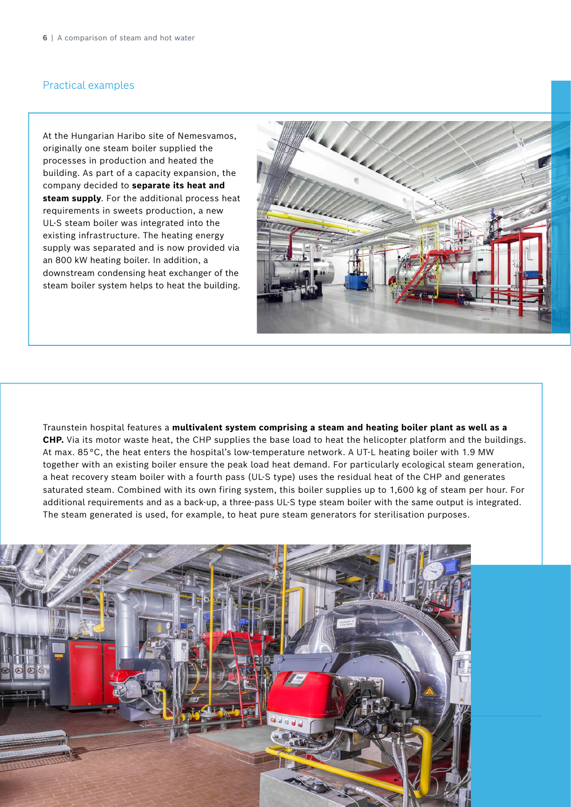# Practical examples

At the Hungarian Haribo site of Nemesvamos, originally one steam boiler supplied the processes in production and heated the building. As part of a capacity expansion, the company decided to **separate its heat and steam supply**. For the additional process heat requirements in sweets production, a new UL-S steam boiler was integrated into the existing infrastructure. The heating energy supply was separated and is now provided via an 800 kW heating boiler. In addition, a downstream condensing heat exchanger of the steam boiler system helps to heat the building.



Traunstein hospital features a **multivalent system comprising a steam and heating boiler plant as well as a CHP.** Via its motor waste heat, the CHP supplies the base load to heat the helicopter platform and the buildings. At max. 85 °C, the heat enters the hospital's low-temperature network. A UT-L heating boiler with 1.9 MW together with an existing boiler ensure the peak load heat demand. For particularly ecological steam generation, a heat recovery steam boiler with a fourth pass (UL-S type) uses the residual heat of the CHP and generates saturated steam. Combined with its own firing system, this boiler supplies up to 1,600 kg of steam per hour. For additional requirements and as a back-up, a three-pass UL-S type steam boiler with the same output is integrated. The steam generated is used, for example, to heat pure steam generators for sterilisation purposes.

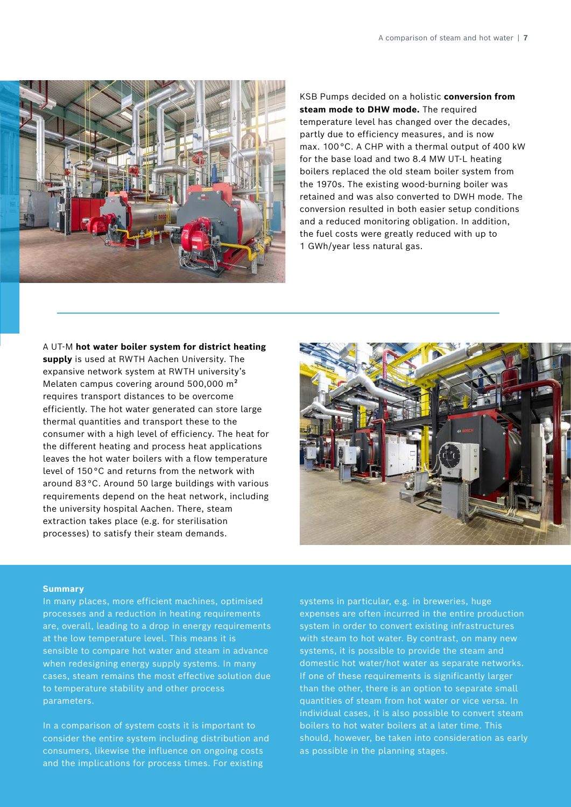

KSB Pumps decided on a holistic **conversion from steam mode to DHW mode.** The required temperature level has changed over the decades, partly due to efficiency measures, and is now max. 100 °C. A CHP with a thermal output of 400 kW for the base load and two 8.4 MW UT-L heating boilers replaced the old steam boiler system from the 1970s. The existing wood-burning boiler was retained and was also converted to DWH mode. The conversion resulted in both easier setup conditions and a reduced monitoring obligation. In addition, the fuel costs were greatly reduced with up to 1 GWh/year less natural gas.

# A UT-M **hot water boiler system for district heating**

**supply** is used at RWTH Aachen University. The expansive network system at RWTH university's Melaten campus covering around 500,000 m² requires transport distances to be overcome efficiently. The hot water generated can store large thermal quantities and transport these to the consumer with a high level of efficiency. The heat for the different heating and process heat applications leaves the hot water boilers with a flow temperature level of 150 °C and returns from the network with around 83 °C. Around 50 large buildings with various requirements depend on the heat network, including the university hospital Aachen. There, steam extraction takes place (e.g. for sterilisation processes) to satisfy their steam demands.



#### **Summary**

In many places, more efficient machines, optimised processes and a reduction in heating requirements are, overall, leading to a drop in energy requirements at the low temperature level. This means it is sensible to compare hot water and steam in advance when redesigning energy supply systems. In many cases, steam remains the most effective solution due to temperature stability and other process parameters.

In a comparison of system costs it is important to consider the entire system including distribution and consumers, likewise the influence on ongoing costs and the implications for process times. For existing

systems in particular, e.g. in breweries, huge expenses are often incurred in the entire production system in order to convert existing infrastructures with steam to hot water. By contrast, on many new systems, it is possible to provide the steam and domestic hot water/hot water as separate networks. If one of these requirements is significantly larger than the other, there is an option to separate small quantities of steam from hot water or vice versa. In individual cases, it is also possible to convert steam boilers to hot water boilers at a later time. This should, however, be taken into consideration as early as possible in the planning stages.